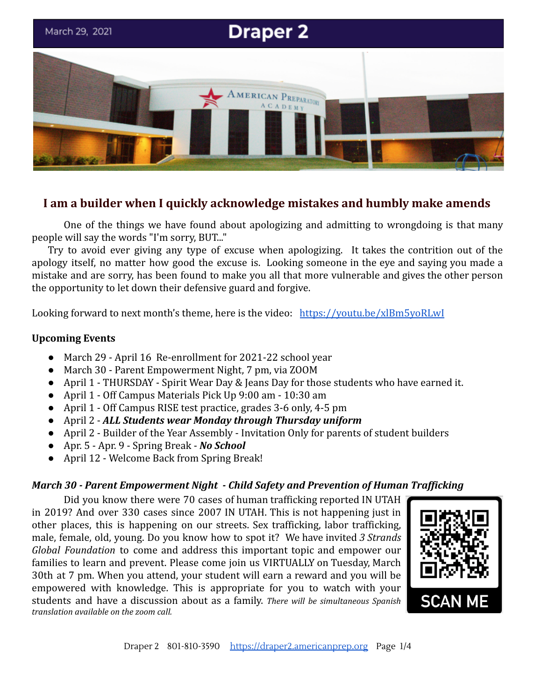

# **I am a builder when I quickly acknowledge mistakes and humbly make amends**

One of the things we have found about apologizing and admitting to wrongdoing is that many people will say the words "I'm sorry, BUT..."

Try to avoid ever giving any type of excuse when apologizing. It takes the contrition out of the apology itself, no matter how good the excuse is. Looking someone in the eye and saying you made a mistake and are sorry, has been found to make you all that more vulnerable and gives the other person the opportunity to let down their defensive guard and forgive.

Looking forward to next month's theme, here is the video: <https://youtu.be/xlBm5yoRLwI>

### **Upcoming Events**

- March 29 April 16 Re-enrollment for 2021-22 school year
- March 30 Parent Empowerment Night, 7 pm, via ZOOM
- April 1 THURSDAY Spirit Wear Day & Jeans Day for those students who have earned it.
- April 1 Off Campus Materials Pick Up 9:00 am 10:30 am
- April 1 Off Campus RISE test practice, grades 3-6 only, 4-5 pm
- April 2 *ALL Students wear Monday through Thursday uniform*
- April 2 Builder of the Year Assembly Invitation Only for parents of student builders
- Apr. 5 Apr. 9 Spring Break *No School*
- April 12 Welcome Back from Spring Break!

#### *March 30 - Parent Empowerment Night - Child Safety and Prevention of Human Trafficking*

Did you know there were 70 cases of human trafficking reported IN UTAH in 2019? And over 330 cases since 2007 IN UTAH. This is not happening just in other places, this is happening on our streets. Sex trafficking, labor trafficking, male, female, old, young. Do you know how to spot it? We have invited *3 Strands Global Foundation* to come and address this important topic and empower our families to learn and prevent. Please come join us VIRTUALLY on Tuesday, March 30th at 7 pm. When you attend, your student will earn a reward and you will be empowered with knowledge. This is appropriate for you to watch with your students and have a discussion about as a family. *There will be simultaneous Spanish translation available on the zoom call.*

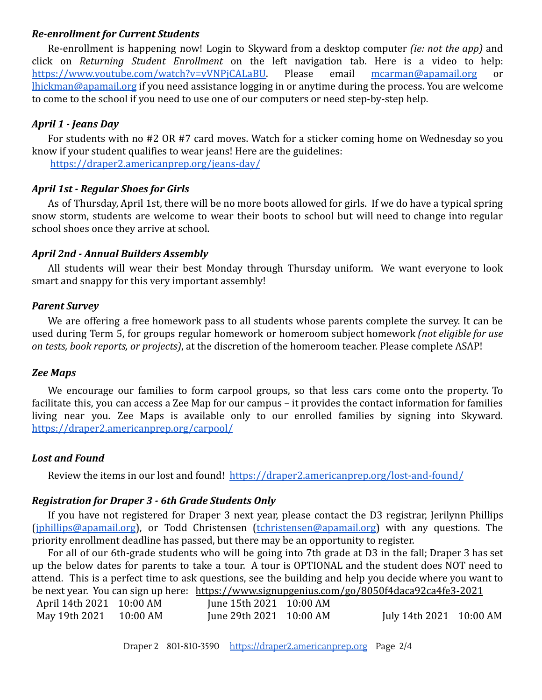### *Re-enrollment for Current Students*

Re-enrollment is happening now! Login to Skyward from a desktop computer *(ie: not the app)* and click on *Returning Student Enrollment* on the left navigation tab. Here is a video to help: [https://www.youtube.com/watch?v=vVNPjCALaBU.](https://www.youtube.com/watch?v=vVNPjCALaBU) Please email [mcarman@apamail.org](mailto:mcarman@apamail.org) or [lhickman@apamail.org](mailto:lhickman@apamail.org) if you need assistance logging in or anytime during the process. You are welcome to come to the school if you need to use one of our computers or need step-by-step help.

## *April 1 - Jeans Day*

For students with no #2 OR #7 card moves. Watch for a sticker coming home on Wednesday so you know if your student qualifies to wear jeans! Here are the guidelines:

<https://draper2.americanprep.org/jeans-day/>

### *April 1st - Regular Shoes for Girls*

As of Thursday, April 1st, there will be no more boots allowed for girls. If we do have a typical spring snow storm, students are welcome to wear their boots to school but will need to change into regular school shoes once they arrive at school.

### *April 2nd - Annual Builders Assembly*

All students will wear their best Monday through Thursday uniform. We want everyone to look smart and snappy for this very important assembly!

## *Parent Survey*

We are offering a free homework pass to all students whose parents complete the survey. It can be used during Term 5, for groups regular homework or homeroom subject homework *(not eligible for use on tests, book reports, or projects)*, at the discretion of the homeroom teacher. Please complete ASAP!

### *Zee Maps*

We encourage our families to form carpool groups, so that less cars come onto the property. To facilitate this, you can access a Zee Map for our campus – it provides the contact information for families living near you. Zee Maps is available only to our enrolled families by signing into Skyward. <https://draper2.americanprep.org/carpool/>

### *Lost and Found*

Review the items in our lost and found! <https://draper2.americanprep.org/lost-and-found/>

# *Registration for Draper 3 - 6th Grade Students Only*

If you have not registered for Draper 3 next year, please contact the D3 registrar, Jerilynn Phillips ([jphillips@apamail.org](mailto:jphillips@apamail.org)), or Todd Christensen [\(tchristensen@apamail.org\)](mailto:tchristensen@apamail.org) with any questions. The priority enrollment deadline has passed, but there may be an opportunity to register.

For all of our 6th-grade students who will be going into 7th grade at D3 in the fall; Draper 3 has set up the below dates for parents to take a tour. A tour is OPTIONAL and the student does NOT need to attend. This is a perfect time to ask questions, see the building and help you decide where you want to be next year. You can sign up here: <https://www.signupgenius.com/go/8050f4daca92ca4fe3-2021>

| April 14th 2021 10:00 AM | June 15th 2021 10:00 AM |                         |  |
|--------------------------|-------------------------|-------------------------|--|
| May 19th 2021 10:00 AM   | June 29th 2021 10:00 AM | July 14th 2021 10:00 AM |  |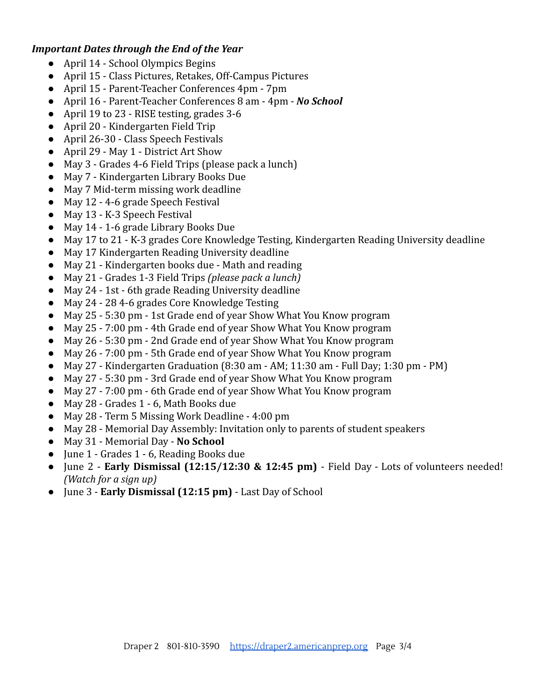### *Important Dates through the End of the Year*

- April 14 School Olympics Begins
- April 15 Class Pictures, Retakes, Off-Campus Pictures
- April 15 Parent-Teacher Conferences 4pm 7pm
- April 16 Parent-Teacher Conferences 8 am 4pm *No School*
- April 19 to 23 RISE testing, grades 3-6
- April 20 Kindergarten Field Trip
- April 26-30 Class Speech Festivals
- April 29 May 1 District Art Show
- May 3 Grades 4-6 Field Trips (please pack a lunch)
- May 7 Kindergarten Library Books Due
- May 7 Mid-term missing work deadline
- May 12 4-6 grade Speech Festival
- May 13 K-3 Speech Festival
- May 14 1-6 grade Library Books Due
- May 17 to 21 K-3 grades Core Knowledge Testing, Kindergarten Reading University deadline
- May 17 Kindergarten Reading University deadline
- May 21 Kindergarten books due Math and reading
- May 21 Grades 1-3 Field Trips *(please pack a lunch)*
- May 24 1st 6th grade Reading University deadline
- May 24 28 4-6 grades Core Knowledge Testing
- May 25 5:30 pm 1st Grade end of year Show What You Know program
- May 25 7:00 pm 4th Grade end of year Show What You Know program
- May 26 5:30 pm 2nd Grade end of year Show What You Know program
- May 26 7:00 pm 5th Grade end of year Show What You Know program
- $\bullet$  May 27 Kindergarten Graduation (8:30 am AM; 11:30 am Full Day; 1:30 pm PM)
- May 27 5:30 pm 3rd Grade end of year Show What You Know program
- May 27 7:00 pm 6th Grade end of year Show What You Know program
- May 28 Grades 1 6, Math Books due
- May 28 Term 5 Missing Work Deadline 4:00 pm
- May 28 Memorial Day Assembly: Invitation only to parents of student speakers
- May 31 Memorial Day **No School**
- June 1 Grades 1 6, Reading Books due
- June 2 **Early Dismissal (12:15/12:30 & 12:45 pm)** Field Day Lots of volunteers needed! *(Watch for a sign up)*
- June 3 **Early Dismissal (12:15 pm)** Last Day of School